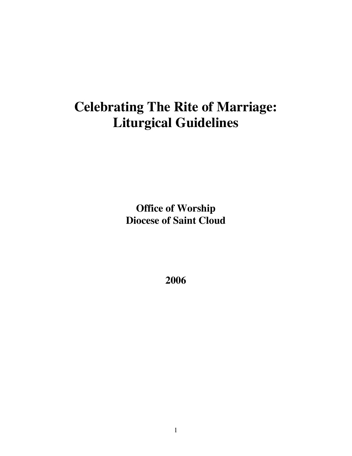# **Celebrating The Rite of Marriage: Liturgical Guidelines**

**Office of Worship Diocese of Saint Cloud**

**2006**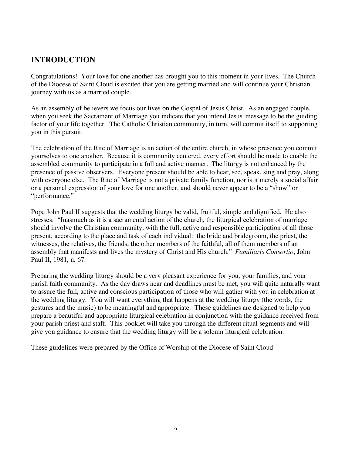### **INTRODUCTION**

Congratulations! Your love for one another has brought you to this moment in your lives. The Church of the Diocese of Saint Cloud is excited that you are getting married and will continue your Christian journey with us as a married couple.

As an assembly of believers we focus our lives on the Gospel of Jesus Christ. As an engaged couple, when you seek the Sacrament of Marriage you indicate that you intend Jesus' message to be the guiding factor of your life together. The Catholic Christian community, in turn, will commit itself to supporting you in this pursuit.

The celebration of the Rite of Marriage is an action of the entire church, in whose presence you commit yourselves to one another. Because it is community centered, every effort should be made to enable the assembled community to participate in a full and active manner. The liturgy is not enhanced by the presence of passive observers. Everyone present should be able to hear, see, speak, sing and pray, along with everyone else. The Rite of Marriage is not a private family function, nor is it merely a social affair or a personal expression of your love for one another, and should never appear to be a "show" or "performance."

Pope John Paul II suggests that the wedding liturgy be valid, fruitful, simple and dignified. He also stresses: "Inasmuch as it is a sacramental action of the church, the liturgical celebration of marriage should involve the Christian community, with the full, active and responsible participation of all those present, according to the place and task of each individual: the bride and bridegroom, the priest, the witnesses, the relatives, the friends, the other members of the faithful, all of them members of an assembly that manifests and lives the mystery of Christ and His church." *Familiaris Consortio*, John Paul II, 1981, n. 67.

Preparing the wedding liturgy should be a very pleasant experience for you, your families, and your parish faith community. As the day draws near and deadlines must be met, you will quite naturally want to assure the full, active and conscious participation of those who will gather with you in celebration at the wedding liturgy. You will want everything that happens at the wedding liturgy (the words, the gestures and the music) to be meaningful and appropriate. These guidelines are designed to help you prepare a beautiful and appropriate liturgical celebration in conjunction with the guidance received from your parish priest and staff. This booklet will take you through the different ritual segments and will give you guidance to ensure that the wedding liturgy will be a solemn liturgical celebration.

These guidelines were prepared by the Office of Worship of the Diocese of Saint Cloud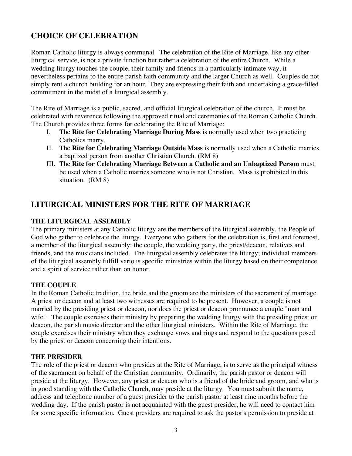### **CHOICE OF CELEBRATION**

Roman Catholic liturgy is always communal. The celebration of the Rite of Marriage, like any other liturgical service, is not a private function but rather a celebration of the entire Church. While a wedding liturgy touches the couple, their family and friends in a particularly intimate way, it nevertheless pertains to the entire parish faith community and the larger Church as well. Couples do not simply rent a church building for an hour. They are expressing their faith and undertaking a grace-filled commitment in the midst of a liturgical assembly.

The Rite of Marriage is a public, sacred, and official liturgical celebration of the church. It must be celebrated with reverence following the approved ritual and ceremonies of the Roman Catholic Church. The Church provides three forms for celebrating the Rite of Marriage:

- I. The **Rite for Celebrating Marriage During Mass** is normally used when two practicing Catholics marry.
- II. The **Rite for Celebrating Marriage Outside Mass** is normally used when a Catholic marries a baptized person from another Christian Church. (RM 8)
- III. The **Rite for Celebrating Marriage Between a Catholic and an Unbaptized Person** must be used when a Catholic marries someone who is not Christian. Mass is prohibited in this situation. (RM 8)

### **LITURGICAL MINISTERS FOR THE RITE OF MARRIAGE**

### **THE LITURGICAL ASSEMBLY**

The primary ministers at any Catholic liturgy are the members of the liturgical assembly, the People of God who gather to celebrate the liturgy. Everyone who gathers for the celebration is, first and foremost, a member of the liturgical assembly: the couple, the wedding party, the priest/deacon, relatives and friends, and the musicians included. The liturgical assembly celebrates the liturgy; individual members of the liturgical assembly fulfill various specific ministries within the liturgy based on their competence and a spirit of service rather than on honor.

### **THE COUPLE**

In the Roman Catholic tradition, the bride and the groom are the ministers of the sacrament of marriage. A priest or deacon and at least two witnesses are required to be present. However, a couple is not married by the presiding priest or deacon, nor does the priest or deacon pronounce a couple "man and wife." The couple exercises their ministry by preparing the wedding liturgy with the presiding priest or deacon, the parish music director and the other liturgical ministers. Within the Rite of Marriage, the couple exercises their ministry when they exchange vows and rings and respond to the questions posed by the priest or deacon concerning their intentions.

### **THE PRESIDER**

The role of the priest or deacon who presides at the Rite of Marriage, is to serve as the principal witness of the sacrament on behalf of the Christian community. Ordinarily, the parish pastor or deacon will preside at the liturgy. However, any priest or deacon who is a friend of the bride and groom, and who is in good standing with the Catholic Church, may preside at the liturgy. You must submit the name, address and telephone number of a guest presider to the parish pastor at least nine months before the wedding day. If the parish pastor is not acquainted with the guest presider, he will need to contact him for some specific information. Guest presiders are required to ask the pastor's permission to preside at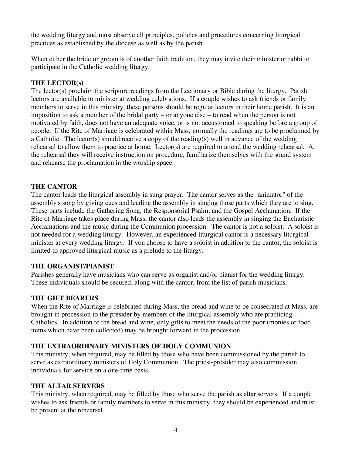the wedding liturgy and must observe all principles, policies and procedures concerning liturgical practices as established by the diocese as well as by the parish.

When either the bride or groom is of another faith tradition, they may invite their minister or rabbi to participate in the Catholic wedding liturgy.

### **THE LECTOR(s)**

The lector(s) proclaim the scripture readings from the Lectionary or Bible during the liturgy. Parish lectors are available to minister at wedding celebrations. If a couple wishes to ask friends or family members to serve in this ministry, these persons should be regular lectors in their home parish. It is an imposition to ask a member of the bridal party – or anyone else – to read when the person is not motivated by faith, does not have an adequate voice, or is not accustomed to speaking before a group of people. If the Rite of Marriage is celebrated within Mass, normally the readings are to be proclaimed by a Catholic. The lector(s) should receive a copy of the reading(s) well in advance of the wedding rehearsal to allow them to practice at home. Lector(s) are required to attend the wedding rehearsal. At the rehearsal they will receive instruction on procedure, familiarize themselves with the sound system and rehearse the proclamation in the worship space.

### **THE CANTOR**

The cantor leads the liturgical assembly in sung prayer. The cantor serves as the "animator" of the assembly's song by giving cues and leading the assembly in singing those parts which they are to sing. These parts include the Gathering Song, the Responsorial Psalm, and the Gospel Acclamation. If the Rite of Marriage takes place during Mass, the cantor also leads the assembly in singing the Eucharistic Acclamations and the music during the Communion procession. The cantor is not a soloist. A soloist is not needed for a wedding liturgy. However, an experienced liturgical cantor is a necessary liturgical minister at every wedding liturgy. If you choose to have a soloist in addition to the cantor, the soloist is limited to approved liturgical music as a prelude to the liturgy.

### **THE ORGANIST/PIANIST**

Parishes generally have musicians who can serve as organist and/or pianist for the wedding liturgy. These individuals should be secured, along with the cantor, from the list of parish musicians.

### **THE GIFT BEARERS**

When the Rite of Marriage is celebrated during Mass, the bread and wine to be consecrated at Mass, are brought in procession to the presider by members of the liturgical assembly who are practicing Catholics. In addition to the bread and wine, only gifts to meet the needs of the poor (monies or food items which have been collected) may be brought forward in the procession.

### **THE EXTRAORDINARY MINISTERS OF HOLY COMMUNION**

This ministry, when required, may be filled by those who have been commissioned by the parish to serve as extraordinary ministers of Holy Communion. The priest-presider may also commission individuals for service on a one-time basis.

### **THE ALTAR SERVERS**

This ministry, when required, may be filled by those who serve the parish as altar servers. If a couple wishes to ask friends or family members to serve in this ministry, they should be experienced and must be present at the rehearsal.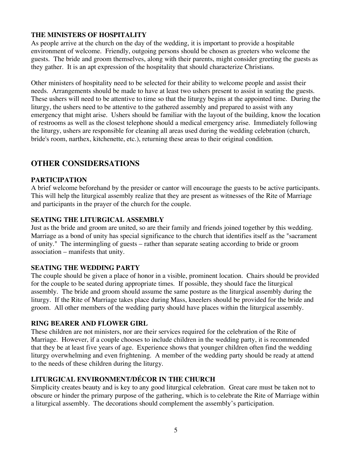### **THE MINISTERS OF HOSPITALITY**

As people arrive at the church on the day of the wedding, it is important to provide a hospitable environment of welcome. Friendly, outgoing persons should be chosen as greeters who welcome the guests. The bride and groom themselves, along with their parents, might consider greeting the guests as they gather. It is an apt expression of the hospitality that should characterize Christians.

Other ministers of hospitality need to be selected for their ability to welcome people and assist their needs. Arrangements should be made to have at least two ushers present to assist in seating the guests. These ushers will need to be attentive to time so that the liturgy begins at the appointed time. During the liturgy, the ushers need to be attentive to the gathered assembly and prepared to assist with any emergency that might arise. Ushers should be familiar with the layout of the building, know the location of restrooms as well as the closest telephone should a medical emergency arise. Immediately following the liturgy, ushers are responsible for cleaning all areas used during the wedding celebration (church, bride's room, narthex, kitchenette, etc.), returning these areas to their original condition.

### **OTHER CONSIDERSATIONS**

### **PARTICIPATION**

A brief welcome beforehand by the presider or cantor will encourage the guests to be active participants. This will help the liturgical assembly realize that they are present as witnesses of the Rite of Marriage and participants in the prayer of the church for the couple.

### **SEATING THE LITURGICAL ASSEMBLY**

Just as the bride and groom are united, so are their family and friends joined together by this wedding. Marriage as a bond of unity has special significance to the church that identifies itself as the "sacrament of unity." The intermingling of guests – rather than separate seating according to bride or groom association – manifests that unity.

### **SEATING THE WEDDING PARTY**

The couple should be given a place of honor in a visible, prominent location. Chairs should be provided for the couple to be seated during appropriate times. If possible, they should face the liturgical assembly. The bride and groom should assume the same posture as the liturgical assembly during the liturgy. If the Rite of Marriage takes place during Mass, kneelers should be provided for the bride and groom. All other members of the wedding party should have places within the liturgical assembly.

### **RING BEARER AND FLOWER GIRL**

These children are not ministers, nor are their services required for the celebration of the Rite of Marriage. However, if a couple chooses to include children in the wedding party, it is recommended that they be at least five years of age. Experience shows that younger children often find the wedding liturgy overwhelming and even frightening. A member of the wedding party should be ready at attend to the needs of these children during the liturgy.

### **LITURGICAL ENVIRONMENT/DÉCOR IN THE CHURCH**

Simplicity creates beauty and is key to any good liturgical celebration. Great care must be taken not to obscure or hinder the primary purpose of the gathering, which is to celebrate the Rite of Marriage within a liturgical assembly. The decorations should complement the assembly's participation.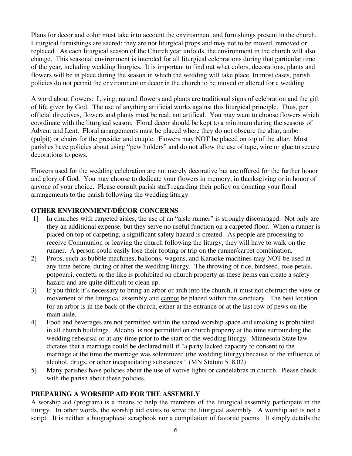Plans for decor and color must take into account the environment and furnishings present in the church. Liturgical furnishings are sacred; they are not liturgical props and may not to be moved, removed or replaced. As each liturgical season of the Church year unfolds, the environment in the church will also change. This seasonal environment is intended for all liturgical celebrations during that particular time of the year, including wedding liturgies. It is important to find out what colors, decorations, plants and flowers will be in place during the season in which the wedding will take place. In most cases, parish policies do not permit the environment or decor in the church to be moved or altered for a wedding.

A word about flowers: Living, natural flowers and plants are traditional signs of celebration and the gift of life given by God. The use of anything artificial works against this liturgical principle. Thus, per official directives, flowers and plants must be real, not artifical. You may want to choose flowers which coordinate with the liturgical season. Floral decor should be kept to a minimum during the seasons of Advent and Lent. Floral arrangements must be placed where they do not obscure the altar, ambo (pulpit) or chairs for the presider and couple. Flowers may NOT be placed on top of the altar. Most parishes have policies about using "pew holders" and do not allow the use of tape, wire or glue to secure decorations to pews.

Flowers used for the wedding celebration are not merely decorative but are offered for the further honor and glory of God. You may choose to dedicate your flowers in memory, in thanksgiving or in honor of anyone of your choice. Please consult parish staff regarding their policy on donating your floral arrangements to the parish following the wedding liturgy.

### **OTHER ENVIRONMENT/DÉCOR CONCERNS**

- 1] In churches with carpeted aisles, the use of an "aisle runner" is strongly discouraged. Not only are they an additional expense, but they serve no useful function on a carpeted floor. When a runner is placed on top of carpeting, a significant safety hazard is created. As people are processing to receive Communion or leaving the church following the liturgy, they will have to walk on the runner. A person could easily lose their footing or trip on the runner/carpet combination.
- 2] Props, such as bubble machines, balloons, wagons, and Karaoke machines may NOT be used at any time before, during or after the wedding liturgy. The throwing of rice, birdseed, rose petals, potpourri, confetti or the like is prohibited on church property as these items can create a safety hazard and are quite difficult to clean up.
- 3] If you think it's necessary to bring an arbor or arch into the church, it must not obstruct the view or movement of the liturgical assembly and cannot be placed within the sanctuary. The best location for an arbor is in the back of the church, either at the entrance or at the last row of pews on the main aisle.
- 4] Food and beverages are not permitted within the sacred worship space and smoking is prohibited in all church buildings. Alcohol is not permitted on church property at the time surrounding the wedding rehearsal or at any time prior to the start of the wedding liturgy. Minnesota State law dictates that a marriage could be declared null if "a party lacked capacity to consent to the marriage at the time the marriage was solemnized (the wedding liturgy) because of the influence of alcohol, drugs, or other incapacitating substances." (MN Statute 518.02)
- 5] Many parishes have policies about the use of votive lights or candelabras in church. Please check with the parish about these policies.

### **PREPARING A WORSHIP AID FOR THE ASSEMBLY**

A worship aid (program) is a means to help the members of the liturgical assembly participate in the liturgy. In other words, the worship aid exists to serve the liturgical assembly. A worship aid is not a script. It is neither a biographical scrapbook nor a compilation of favorite poems. It simply details the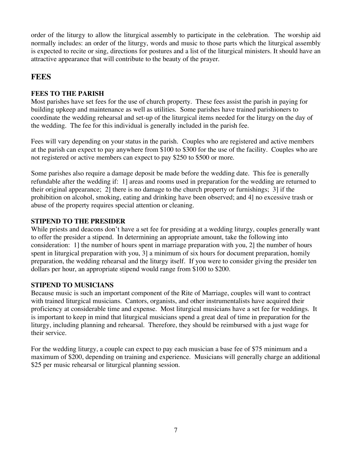order of the liturgy to allow the liturgical assembly to participate in the celebration. The worship aid normally includes: an order of the liturgy, words and music to those parts which the liturgical assembly is expected to recite or sing, directions for postures and a list of the liturgical ministers. It should have an attractive appearance that will contribute to the beauty of the prayer.

### **FEES**

### **FEES TO THE PARISH**

Most parishes have set fees for the use of church property. These fees assist the parish in paying for building upkeep and maintenance as well as utilities. Some parishes have trained parishioners to coordinate the wedding rehearsal and set-up of the liturgical items needed for the liturgy on the day of the wedding. The fee for this individual is generally included in the parish fee.

Fees will vary depending on your status in the parish. Couples who are registered and active members at the parish can expect to pay anywhere from \$100 to \$300 for the use of the facility. Couples who are not registered or active members can expect to pay \$250 to \$500 or more.

Some parishes also require a damage deposit be made before the wedding date. This fee is generally refundable after the wedding if: 1] areas and rooms used in preparation for the wedding are returned to their original appearance; 2] there is no damage to the church property or furnishings; 3] if the prohibition on alcohol, smoking, eating and drinking have been observed; and 4] no excessive trash or abuse of the property requires special attention or cleaning.

### **STIPEND TO THE PRESIDER**

While priests and deacons don't have a set fee for presiding at a wedding liturgy, couples generally want to offer the presider a stipend. In determining an appropriate amount, take the following into consideration: 1] the number of hours spent in marriage preparation with you, 2] the number of hours spent in liturgical preparation with you, 3] a minimum of six hours for document preparation, homily preparation, the wedding rehearsal and the liturgy itself. If you were to consider giving the presider ten dollars per hour, an appropriate stipend would range from \$100 to \$200.

### **STIPEND TO MUSICIANS**

Because music is such an important component of the Rite of Marriage, couples will want to contract with trained liturgical musicians. Cantors, organists, and other instrumentalists have acquired their proficiency at considerable time and expense. Most liturgical musicians have a set fee for weddings. It is important to keep in mind that liturgical musicians spend a great deal of time in preparation for the liturgy, including planning and rehearsal. Therefore, they should be reimbursed with a just wage for their service.

For the wedding liturgy, a couple can expect to pay each musician a base fee of \$75 minimum and a maximum of \$200, depending on training and experience. Musicians will generally charge an additional \$25 per music rehearsal or liturgical planning session.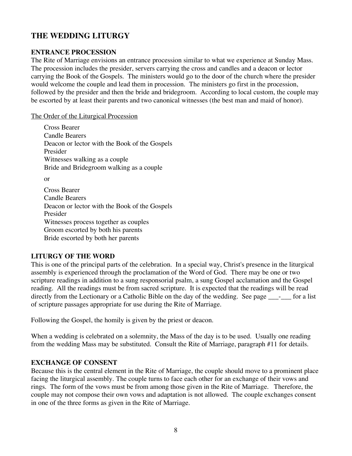### **THE WEDDING LITURGY**

### **ENTRANCE PROCESSION**

The Rite of Marriage envisions an entrance procession similar to what we experience at Sunday Mass. The procession includes the presider, servers carrying the cross and candles and a deacon or lector carrying the Book of the Gospels. The ministers would go to the door of the church where the presider would welcome the couple and lead them in procession. The ministers go first in the procession, followed by the presider and then the bride and bridegroom. According to local custom, the couple may be escorted by at least their parents and two canonical witnesses (the best man and maid of honor).

The Order of the Liturgical Procession

Cross Bearer Candle Bearers Deacon or lector with the Book of the Gospels Presider Witnesses walking as a couple Bride and Bridegroom walking as a couple or Cross Bearer Candle Bearers Deacon or lector with the Book of the Gospels Presider Witnesses process together as couples

Groom escorted by both his parents

Bride escorted by both her parents

### **LITURGY OF THE WORD**

This is one of the principal parts of the celebration. In a special way, Christ's presence in the liturgical assembly is experienced through the proclamation of the Word of God. There may be one or two scripture readings in addition to a sung responsorial psalm, a sung Gospel acclamation and the Gospel reading. All the readings must be from sacred scripture. It is expected that the readings will be read directly from the Lectionary or a Catholic Bible on the day of the wedding. See page \_\_\_\_\_ for a list of scripture passages appropriate for use during the Rite of Marriage.

Following the Gospel, the homily is given by the priest or deacon.

When a wedding is celebrated on a solemnity, the Mass of the day is to be used. Usually one reading from the wedding Mass may be substituted. Consult the Rite of Marriage, paragraph #11 for details.

### **EXCHANGE OF CONSENT**

Because this is the central element in the Rite of Marriage, the couple should move to a prominent place facing the liturgical assembly. The couple turns to face each other for an exchange of their vows and rings. The form of the vows must be from among those given in the Rite of Marriage. Therefore, the couple may not compose their own vows and adaptation is not allowed. The couple exchanges consent in one of the three forms as given in the Rite of Marriage.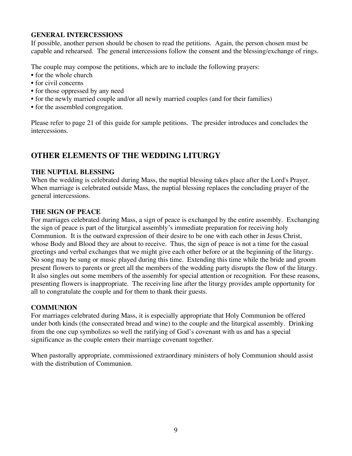### **GENERAL INTERCESSIONS**

If possible, another person should be chosen to read the petitions. Again, the person chosen must be capable and rehearsed. The general intercessions follow the consent and the blessing/exchange of rings.

The couple may compose the petitions, which are to include the following prayers:

- for the whole church
- for civil concerns
- for those oppressed by any need
- for the newly married couple and/or all newly married couples (and for their families)
- for the assembled congregation.

Please refer to page 21 of this guide for sample petitions. The presider introduces and concludes the intercessions.

### **OTHER ELEMENTS OF THE WEDDING LITURGY**

### **THE NUPTIAL BLESSING**

When the wedding is celebrated during Mass, the nuptial blessing takes place after the Lord's Prayer. When marriage is celebrated outside Mass, the nuptial blessing replaces the concluding prayer of the general intercessions.

### **THE SIGN OF PEACE**

For marriages celebrated during Mass, a sign of peace is exchanged by the entire assembly. Exchanging the sign of peace is part of the liturgical assembly's immediate preparation for receiving holy Communion. It is the outward expression of their desire to be one with each other in Jesus Christ, whose Body and Blood they are about to receive. Thus, the sign of peace is not a time for the casual greetings and verbal exchanges that we might give each other before or at the beginning of the liturgy. No song may be sung or music played during this time. Extending this time while the bride and groom present flowers to parents or greet all the members of the wedding party disrupts the flow of the liturgy. It also singles out some members of the assembly for special attention or recognition. For these reasons, presenting flowers is inappropriate. The receiving line after the liturgy provides ample opportunity for all to congratulate the couple and for them to thank their guests.

### **COMMUNION**

For marriages celebrated during Mass, it is especially appropriate that Holy Communion be offered under both kinds (the consecrated bread and wine) to the couple and the liturgical assembly. Drinking from the one cup symbolizes so well the ratifying of God's covenant with us and has a special significance as the couple enters their marriage covenant together.

When pastorally appropriate, commissioned extraordinary ministers of holy Communion should assist with the distribution of Communion.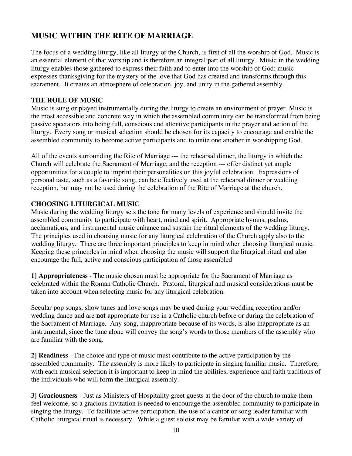### **MUSIC WITHIN THE RITE OF MARRIAGE**

The focus of a wedding liturgy, like all liturgy of the Church, is first of all the worship of God. Music is an essential element of that worship and is therefore an integral part of all liturgy. Music in the wedding liturgy enables those gathered to express their faith and to enter into the worship of God; music expresses thanksgiving for the mystery of the love that God has created and transforms through this sacrament. It creates an atmosphere of celebration, joy, and unity in the gathered assembly.

### **THE ROLE OF MUSIC**

Music is sung or played instrumentally during the liturgy to create an environment of prayer. Music is the most accessible and concrete way in which the assembled community can be transformed from being passive spectators into being full, conscious and attentive participants in the prayer and action of the liturgy. Every song or musical selection should be chosen for its capacity to encourage and enable the assembled community to become active participants and to unite one another in worshipping God.

All of the events surrounding the Rite of Marriage --- the rehearsal dinner, the liturgy in which the Church will celebrate the Sacrament of Marriage, and the reception --- offer distinct yet ample opportunities for a couple to imprint their personalities on this joyful celebration. Expressions of personal taste, such as a favorite song, can be effectively used at the rehearsal dinner or wedding reception, but may not be used during the celebration of the Rite of Marriage at the church.

### **CHOOSING LITURGICAL MUSIC**

Music during the wedding liturgy sets the tone for many levels of experience and should invite the assembled community to participate with heart, mind and spirit. Appropriate hymns, psalms, acclamations, and instrumental music enhance and sustain the ritual elements of the wedding liturgy. The principles used in choosing music for any liturgical celebration of the Church apply also to the wedding liturgy. There are three important principles to keep in mind when choosing liturgical music. Keeping these principles in mind when choosing the music will support the liturgical ritual and also encourage the full, active and conscious participation of those assembled

**1] Appropriateness** - The music chosen must be appropriate for the Sacrament of Marriage as celebrated within the Roman Catholic Church. Pastoral, liturgical and musical considerations must be taken into account when selecting music for any liturgical celebration.

Secular pop songs, show tunes and love songs may be used during your wedding reception and/or wedding dance and are **not** appropriate for use in a Catholic church before or during the celebration of the Sacrament of Marriage. Any song, inappropriate because of its words, is also inappropriate as an instrumental, since the tune alone will convey the song's words to those members of the assembly who are familiar with the song.

**2] Readiness** - The choice and type of music must contribute to the active participation by the assembled community. The assembly is more likely to participate in singing familiar music. Therefore, with each musical selection it is important to keep in mind the abilities, experience and faith traditions of the individuals who will form the liturgical assembly.

**3] Graciousness** - Just as Ministers of Hospitality greet guests at the door of the church to make them feel welcome, so a gracious invitation is needed to encourage the assembled community to participate in singing the liturgy. To facilitate active participation, the use of a cantor or song leader familiar with Catholic liturgical ritual is necessary. While a guest soloist may be familiar with a wide variety of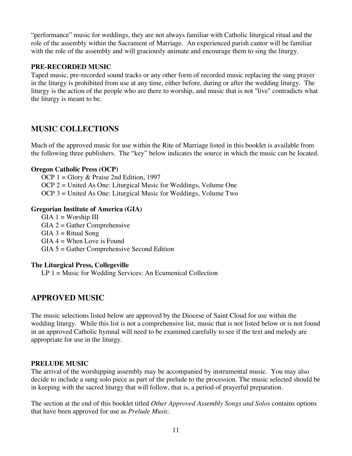"performance" music for weddings, they are not always familiar with Catholic liturgical ritual and the role of the assembly within the Sacrament of Marriage. An experienced parish cantor will be familiar with the role of the assembly and will graciously animate and encourage them to sing the liturgy.

### **PRE-RECORDED MUSIC**

Taped music, pre-recorded sound tracks or any other form of recorded music replacing the sung prayer in the liturgy is prohibited from use at any time, either before, during or after the wedding liturgy. The liturgy is the action of the people who are there to worship, and music that is not "live" contradicts what the liturgy is meant to be.

### **MUSIC COLLECTIONS**

Much of the approved music for use within the Rite of Marriage listed in this booklet is available from the following three publishers. The "key" below indicates the source in which the music can be located.

### **Oregon Catholic Press (OCP)**

OCP 1 = Glory & Praise 2nd Edition, 1997 OCP 2 = United As One: Liturgical Music for Weddings, Volume One OCP 3 = United As One: Liturgical Music for Weddings, Volume Two

### **Gregorian Institute of America (GIA)**

 $GIA$  1 = Worship III  $GIA 2 = Gather Comprehensive$  $GIA$  3 = Ritual Song  $GIA 4 =$  When Love is Found GIA 5 = Gather Comprehensive Second Edition

### **The Liturgical Press, Collegeville**

 $LP 1 =$  Music for Wedding Services: An Ecumenical Collection

### **APPROVED MUSIC**

The music selections listed below are approved by the Diocese of Saint Cloud for use within the wedding liturgy. While this list is not a comprehensive list, music that is not listed below or is not found in an approved Catholic hymnal will need to be examined carefully to see if the text and melody are appropriate for use in the liturgy.

### **PRELUDE MUSIC**

The arrival of the worshipping assembly may be accompanied by instrumental music. You may also decide to include a sung solo piece as part of the prelude to the procession. The music selected should be in keeping with the sacred liturgy that will follow, that is, a period of prayerful preparation.

The section at the end of this booklet titled *Other Approved Assembly Songs and Solos* contains options that have been approved for use as *Prelude Music*.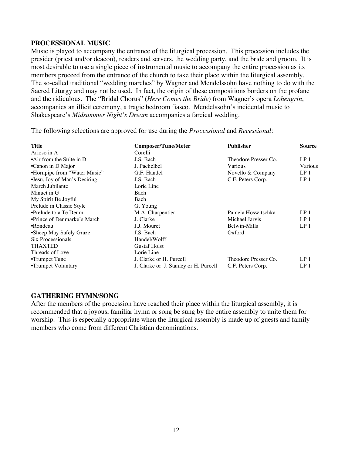### **PROCESSIONAL MUSIC**

Music is played to accompany the entrance of the liturgical procession. This procession includes the presider (priest and/or deacon), readers and servers, the wedding party, and the bride and groom. It is most desirable to use a single piece of instrumental music to accompany the entire procession as its members proceed from the entrance of the church to take their place within the liturgical assembly. The so-called traditional "wedding marches" by Wagner and Mendelssohn have nothing to do with the Sacred Liturgy and may not be used. In fact, the origin of these compositions borders on the profane and the ridiculous. The "Bridal Chorus" (*Here Comes the Bride*) from Wagner's opera *Lohengrin*, accompanies an illicit ceremony, a tragic bedroom fiasco. Mendelssohn's incidental music to Shakespeare's *Midsummer Night's Dream* accompanies a farcical wedding.

The following selections are approved for use during the *Processional* and *Recessional*:

| Title                             | <b>Composer/Tune/Meter</b>            | <b>Publisher</b>     | <b>Source</b>   |
|-----------------------------------|---------------------------------------|----------------------|-----------------|
| Arioso in A                       | Corelli                               |                      |                 |
| $\bullet$ Air from the Suite in D | J.S. Bach                             | Theodore Presser Co. | LP <sub>1</sub> |
| •Canon in D Major                 | J. Pachelbel                          | Various              | Various         |
| •Hornpipe from "Water Music"      | G.F. Handel                           | Novello & Company    | LP <sub>1</sub> |
| •Jesu, Joy of Man's Desiring      | J.S. Bach                             | C.F. Peters Corp.    | LP <sub>1</sub> |
| March Jubilante                   | Lorie Line                            |                      |                 |
| Minuet in G                       | Bach                                  |                      |                 |
| My Spirit Be Joyful               | Bach                                  |                      |                 |
| Prelude in Classic Style          | G. Young                              |                      |                 |
| •Prelude to a Te Deum             | M.A. Charpentier                      | Pamela Hoswitschka   | LP <sub>1</sub> |
| •Prince of Denmarke's March       | J. Clarke                             | Michael Jarvis       | LP <sub>1</sub> |
| •Rondeau                          | J.J. Mouret                           | Belwin-Mills         | LP <sub>1</sub> |
| •Sheep May Safely Graze           | J.S. Bach                             | Oxford               |                 |
| Six Processionals                 | Handel/Wolff                          |                      |                 |
| <b>THAXTED</b>                    | <b>Gustaf Holst</b>                   |                      |                 |
| Threads of Love                   | Lorie Line                            |                      |                 |
| •Trumpet Tune                     | J. Clarke or H. Purcell               | Theodore Presser Co. | LP <sub>1</sub> |
| •Trumpet Voluntary                | J. Clarke or J. Stanley or H. Purcell | C.F. Peters Corp.    | LP <sub>1</sub> |

### **GATHERING HYMN/SONG**

After the members of the procession have reached their place within the liturgical assembly, it is recommended that a joyous, familiar hymn or song be sung by the entire assembly to unite them for worship. This is especially appropriate when the liturgical assembly is made up of guests and family members who come from different Christian denominations.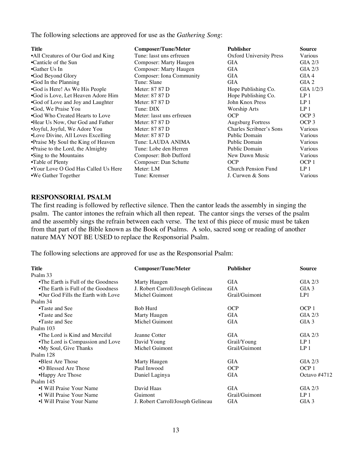The following selections are approved for use as the *Gathering Song*:

| <b>Title</b>                        | <b>Composer/Tune/Meter</b> | <b>Publisher</b>               | Source           |
|-------------------------------------|----------------------------|--------------------------------|------------------|
| •All Creatures of Our God and King  | Tune: lasst uns erfreuen   | <b>Oxford University Press</b> | Various          |
| •Canticle of the Sun                | Composer: Marty Haugen     | <b>GIA</b>                     | $GIA$ 2/3        |
| •Gather Us In                       | Composer: Marty Haugen     | <b>GIA</b>                     | $GIA$ 2/3        |
| .God Beyond Glory                   | Composer: Iona Community   | GIA                            | GIA 4            |
| •God In the Planning                | Tune: Slane                | GIA                            | GIA <sub>2</sub> |
| •God is Here! As We His People      | Meter: 87 87 D             | Hope Publishing Co.            | GIA $1/2/3$      |
| •God is Love, Let Heaven Adore Him  | Meter: 87 87 D             | Hope Publishing Co.            | LP <sub>1</sub>  |
| •God of Love and Joy and Laughter   | Meter: 87 87 D             | John Knox Press                | LP <sub>1</sub>  |
| •God, We Praise You                 | Tune: DIX                  | Worship Arts                   | LP <sub>1</sub>  |
| •God Who Created Hearts to Love     | Meter: lasst uns erfreuen  | <b>OCP</b>                     | OCP <sub>3</sub> |
| •Hear Us Now, Our God and Father    | Meter: 87 87 D             | <b>Augsburg Fortress</b>       | OCP <sub>3</sub> |
| •Joyful, Joyful, We Adore You       | Meter: 87 87 D             | Charles Scribner's Sons        | Various          |
| •Love Divine, All Loves Excelling   | Meter: 87 87 D             | Public Domain                  | Various          |
| •Praise My Soul the King of Heaven  | Tune: LAUDA ANIMA          | Public Domain                  | Various          |
| • Praise to the Lord, the Almighty  | Tune: Lobe den Herren      | Public Domain                  | Various          |
| •Sing to the Mountains              | Composer: Bob Dufford      | New Dawn Music                 | Various          |
| •Table of Plenty                    | Composer: Dan Schutte      | <b>OCP</b>                     | OCP <sub>1</sub> |
| •Your Love O God Has Called Us Here | Meter: LM                  | Church Pension Fund            | LP <sub>1</sub>  |
| •We Gather Together                 | Tune: Kremser              | J. Curwen & Sons               | Various          |

#### **RESPONSORIAL PSALM**

The first reading is followed by reflective silence. Then the cantor leads the assembly in singing the psalm. The cantor intones the refrain which all then repeat. The cantor sings the verses of the psalm and the assembly sings the refrain between each verse. The text of this piece of music must be taken from that part of the Bible known as the Book of Psalms. A solo, sacred song or reading of another nature MAY NOT BE USED to replace the Responsorial Psalm.

The following selections are approved for use as the Responsorial Psalm:

| <b>Title</b>                       | <b>Composer/Tune/Meter</b>        | <b>Publisher</b> | Source           |
|------------------------------------|-----------------------------------|------------------|------------------|
| Psalm 33                           |                                   |                  |                  |
| •The Earth is Full of the Goodness | Marty Haugen                      | GIA              | $GIA$ 2/3        |
| •The Earth is Full of the Goodness | J. Robert Carroll/Joseph Gelineau | <b>GIA</b>       | $GIA$ 3          |
| •Our God Fills the Earth with Love | Michel Guimont                    | Grail/Guimont    | LP1              |
| Psalm 34                           |                                   |                  |                  |
| •Taste and See                     | Bob Hurd                          | <b>OCP</b>       | OCP <sub>1</sub> |
| •Taste and See                     | Marty Haugen                      | GIA              | $GIA$ $2/3$      |
| •Taste and See                     | Michel Guimont                    | GIA              | $GIA$ 3          |
| Psalm 103                          |                                   |                  |                  |
| •The Lord is Kind and Merciful     | Jeanne Cotter                     | GIA              | $GIA$ 2/3        |
| •The Lord is Compassion and Love   | David Young                       | Grail/Young      | LP <sub>1</sub>  |
| •My Soul, Give Thanks              | Michel Guimont                    | Grail/Guimont    | LP <sub>1</sub>  |
| Psalm 128                          |                                   |                  |                  |
| •Blest Are Those                   | Marty Haugen                      | GIA              | $GIA$ 2/3        |
| •O Blessed Are Those               | Paul Inwood                       | <b>OCP</b>       | OCP <sub>1</sub> |
| •Happy Are Those                   | Daniel Laginya                    | GIA              | Octavo #4712     |
| Psalm 145                          |                                   |                  |                  |
| •I Will Praise Your Name           | David Haas                        | <b>GIA</b>       | $GIA$ 2/3        |
| •I Will Praise Your Name           | Guimont                           | Grail/Guimont    | LP <sub>1</sub>  |
| •I Will Praise Your Name           | J. Robert Carroll/Joseph Gelineau | GIA              | GIA <sub>3</sub> |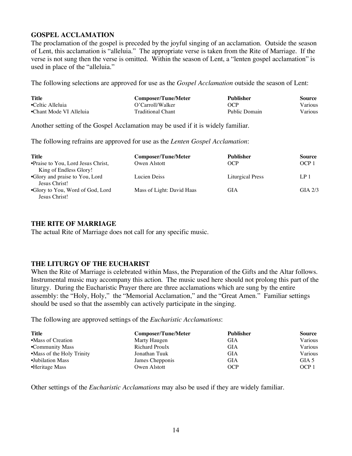### **GOSPEL ACCLAMATION**

The proclamation of the gospel is preceded by the joyful singing of an acclamation. Outside the season of Lent, this acclamation is "alleluia." The appropriate verse is taken from the Rite of Marriage. If the verse is not sung then the verse is omitted. Within the season of Lent, a "lenten gospel acclamation" is used in place of the "alleluia."

The following selections are approved for use as the *Gospel Acclamation* outside the season of Lent:

| <b>Title</b>            | Composer/Tune/Meter      | <b>Publisher</b> | Source  |
|-------------------------|--------------------------|------------------|---------|
| •Celtic Alleluia        | O'Carroll/Walker         | OCP              | Various |
| •Chant Mode VI Alleluia | <b>Traditional Chant</b> | Public Domain    | Various |

Another setting of the Gospel Acclamation may be used if it is widely familiar.

The following refrains are approved for use as the *Lenten Gospel Acclamation*:

| Title                                             | <b>Composer/Tune/Meter</b> | Publisher        | <b>Source</b>    |
|---------------------------------------------------|----------------------------|------------------|------------------|
| •Praise to You, Lord Jesus Christ,                | Owen Alstott               | OCP              | OCP <sub>1</sub> |
| King of Endless Glory!                            |                            |                  |                  |
| •Glory and praise to You, Lord<br>Jesus Christ!   | Lucien Deiss               | Liturgical Press | LP <sub>1</sub>  |
| •Glory to You, Word of God, Lord<br>Jesus Christ! | Mass of Light: David Haas  | GIA              | $GIA$ 2/3        |

#### **THE RITE OF MARRIAGE**

The actual Rite of Marriage does not call for any specific music.

### **THE LITURGY OF THE EUCHARIST**

When the Rite of Marriage is celebrated within Mass, the Preparation of the Gifts and the Altar follows. Instrumental music may accompany this action. The music used here should not prolong this part of the liturgy. During the Eucharistic Prayer there are three acclamations which are sung by the entire assembly: the "Holy, Holy," the "Memorial Acclamation," and the "Great Amen." Familiar settings should be used so that the assembly can actively participate in the singing.

The following are approved settings of the *Eucharistic Acclamations*:

| Title                     | <b>Composer/Tune/Meter</b> | <b>Publisher</b> | Source           |
|---------------------------|----------------------------|------------------|------------------|
| •Mass of Creation         | Marty Haugen               | GIA              | Various          |
| •Community Mass           | Richard Proulx             | GIA              | Various          |
| •Mass of the Holy Trinity | Jonathan Tuuk              | GIA              | Various          |
| •Jubilation Mass          | James Chepponis            | <b>GIA</b>       | GIA 5            |
| •Heritage Mass            | Owen Alstott               | OCP              | OCP <sub>1</sub> |

Other settings of the *Eucharistic Acclamations* may also be used if they are widely familiar.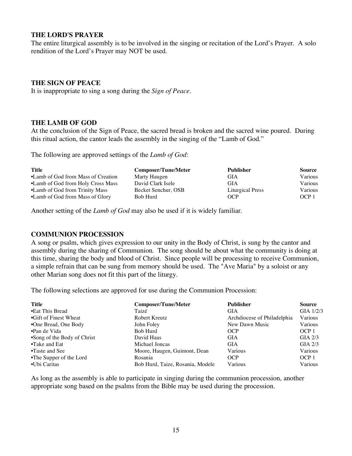### **THE LORD'S PRAYER**

The entire liturgical assembly is to be involved in the singing or recitation of the Lord's Prayer. A solo rendition of the Lord's Prayer may NOT be used.

#### **THE SIGN OF PEACE**

It is inappropriate to sing a song during the *Sign of Peace*.

#### **THE LAMB OF GOD**

At the conclusion of the Sign of Peace, the sacred bread is broken and the sacred wine poured. During this ritual action, the cantor leads the assembly in the singing of the "Lamb of God."

The following are approved settings of the *Lamb of God*:

| Title                              | <b>Composer/Tune/Meter</b> | Publisher               | <b>Source</b> |
|------------------------------------|----------------------------|-------------------------|---------------|
| •Lamb of God from Mass of Creation | Marty Haugen               | GIA                     | Various       |
| •Lamb of God from Holy Cross Mass  | David Clark Isele          | <b>GIA</b>              | Various       |
| •Lamb of God from Trinity Mass     | Becket Senchur, OSB        | <b>Liturgical Press</b> | Various       |
| •Lamb of God from Mass of Glory    | Bob Hurd                   | OCP                     | OCP 1         |

Another setting of the *Lamb of God* may also be used if it is widely familiar.

#### **COMMUNION PROCESSION**

A song or psalm, which gives expression to our unity in the Body of Christ, is sung by the cantor and assembly during the sharing of Communion. The song should be about what the community is doing at this time, sharing the body and blood of Christ. Since people will be processing to receive Communion, a simple refrain that can be sung from memory should be used. The "Ave Maria" by a soloist or any other Marian song does not fit this part of the liturgy.

The following selections are approved for use during the Communion Procession:

| Title                       | <b>Composer/Tune/Meter</b>       | <b>Publisher</b>            | <b>Source</b>    |
|-----------------------------|----------------------------------|-----------------------------|------------------|
| •Eat This Bread             | Taizé                            | <b>GIA</b>                  | GIA $1/2/3$      |
| •Gift of Finest Wheat       | Robert Kreutz                    | Archdiocese of Philadelphia | Various          |
| •One Bread, One Body        | John Foley                       | New Dawn Music              | Various          |
| •Pan de Vida                | Bob Hurd                         | OCP                         | OCP <sub>1</sub> |
| •Song of the Body of Christ | David Haas                       | <b>GIA</b>                  | $GIA$ 2/3        |
| $\bullet$ Take and Eat      | Michael Joncas                   | <b>GIA</b>                  | $GIA$ 2/3        |
| •Taste and See              | Moore, Haugen, Guimont, Dean     | Various                     | Various          |
| •The Supper of the Lord     | Rosania                          | OCP                         | OCP <sub>1</sub> |
| •Ubi Caritas                | Bob Hurd, Taize, Rosania, Modele | Various                     | Various          |

As long as the assembly is able to participate in singing during the communion procession, another appropriate song based on the psalms from the Bible may be used during the procession.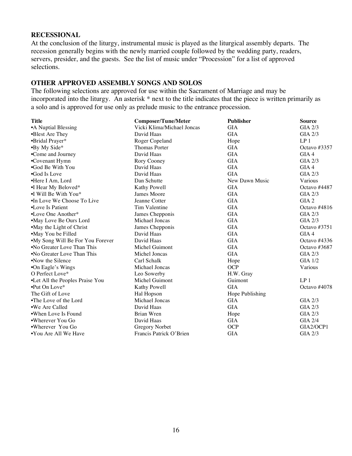#### **RECESSIONAL**

At the conclusion of the liturgy, instrumental music is played as the liturgical assembly departs. The recession generally begins with the newly married couple followed by the wedding party, readers, servers, presider, and the guests. See the list of music under "Procession" for a list of approved selections.

### **OTHER APPROVED ASSEMBLY SONGS AND SOLOS**

The following selections are approved for use within the Sacrament of Marriage and may be incorporated into the liturgy. An asterisk \* next to the title indicates that the piece is written primarily as a solo and is approved for use only as prelude music to the entrance procession.

| <b>Title</b>                     | <b>Composer/Tune/Meter</b> | <b>Publisher</b> | <b>Source</b>    |
|----------------------------------|----------------------------|------------------|------------------|
| •A Nuptial Blessing              | Vicki Klima/Michael Joncas | <b>GIA</b>       | <b>GIA 2/3</b>   |
| •Blest Are They                  | David Haas                 | <b>GIA</b>       | <b>GIA 2/3</b>   |
| •Bridal Prayer*                  | Roger Copeland             | Hope             | LP <sub>1</sub>  |
| •By My Side*                     | <b>Thomas Porter</b>       | <b>GIA</b>       | Octavo $#3357$   |
| •Come and Journey                | David Haas                 | <b>GIA</b>       | GIA 4            |
| •Covenant Hymn                   | Rory Cooney                | <b>GIA</b>       | $GIA$ 2/3        |
| •God Be With You                 | David Haas                 | <b>GIA</b>       | GIA 4            |
| •God Is Love                     | David Haas                 | <b>GIA</b>       | $GIA$ 2/3        |
| •Here I Am, Lord                 | Dan Schutte                | New Dawn Music   | Various          |
| •I Hear My Beloved*              | Kathy Powell               | <b>GIA</b>       | Octavo #4487     |
| •I Will Be With You*             | James Moore                | <b>GIA</b>       | $GIA$ 2/3        |
| •In Love We Choose To Live       | Jeanne Cotter              | <b>GIA</b>       | GIA <sub>2</sub> |
| •Love Is Patient                 | Tim Valentine              | <b>GIA</b>       | Octavo $\#4816$  |
| $\bullet$ Love One Another*      | James Chepponis            | <b>GIA</b>       | $GIA$ 2/3        |
| •May Love Be Ours Lord           | Michael Joncas             | <b>GIA</b>       | $GIA$ 2/3        |
| •May the Light of Christ         | James Chepponis            | <b>GIA</b>       | Octavo #3751     |
| •May You be Filled               | David Haas                 | <b>GIA</b>       | GIA 4            |
| •My Song Will Be For You Forever | David Haas                 | <b>GIA</b>       | Octavo #4336     |
| •No Greater Love Than This       | Michel Guimont             | <b>GIA</b>       | Octavo $#3687$   |
| •No Greater Love Than This       | Michel Joncas              | <b>GIA</b>       | $GIA$ 2/3        |
| •Now the Silence                 | Carl Schalk                | Hope             | $GIA$ 1/2        |
| •On Eagle's Wings                | Michael Joncas             | <b>OCP</b>       | Various          |
| O Perfect Love*                  | Leo Sowerby                | H.W. Gray        |                  |
| •Let All the Peoples Praise You  | Michel Guimont             | Guimont          | LP <sub>1</sub>  |
| $\cdot$ Put On Love*             | Kathy Powell               | <b>GIA</b>       | Octavo #4078     |
| The Gift of Love                 | Hal Hopson                 | Hope Publishing  |                  |
| •The Love of the Lord            | Michael Joncas             | <b>GIA</b>       | $GIA$ 2/3        |
| •We Are Called                   | David Haas                 | <b>GIA</b>       | GIA 2/3          |
| •When Love Is Found              | Brian Wren                 | Hope             | GIA 2/3          |
| •Wherever You Go                 | David Haas                 | <b>GIA</b>       | <b>GIA 2/4</b>   |
| •Wherever You Go                 | Gregory Norbet             | <b>OCP</b>       | GIA2/OCP1        |
| •You Are All We Have             | Francis Patrick O'Brien    | <b>GIA</b>       | <b>GIA 2/3</b>   |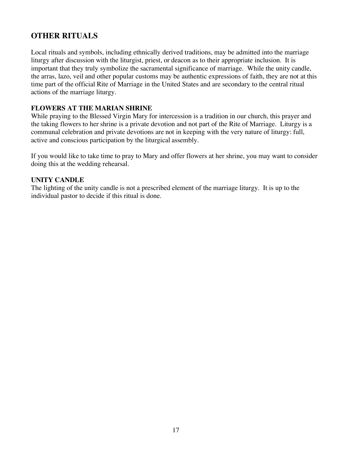### **OTHER RITUALS**

Local rituals and symbols, including ethnically derived traditions, may be admitted into the marriage liturgy after discussion with the liturgist, priest, or deacon as to their appropriate inclusion. It is important that they truly symbolize the sacramental significance of marriage. While the unity candle, the arras, lazo, veil and other popular customs may be authentic expressions of faith, they are not at this time part of the official Rite of Marriage in the United States and are secondary to the central ritual actions of the marriage liturgy.

### **FLOWERS AT THE MARIAN SHRINE**

While praying to the Blessed Virgin Mary for intercession is a tradition in our church, this prayer and the taking flowers to her shrine is a private devotion and not part of the Rite of Marriage. Liturgy is a communal celebration and private devotions are not in keeping with the very nature of liturgy: full, active and conscious participation by the liturgical assembly.

If you would like to take time to pray to Mary and offer flowers at her shrine, you may want to consider doing this at the wedding rehearsal.

### **UNITY CANDLE**

The lighting of the unity candle is not a prescribed element of the marriage liturgy. It is up to the individual pastor to decide if this ritual is done.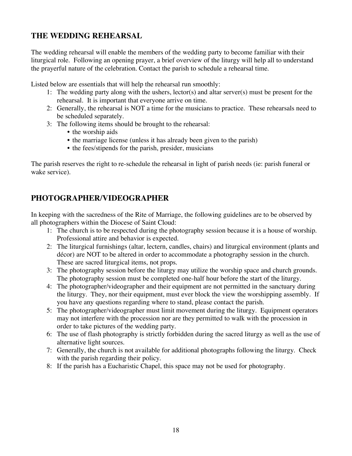### **THE WEDDING REHEARSAL**

The wedding rehearsal will enable the members of the wedding party to become familiar with their liturgical role. Following an opening prayer, a brief overview of the liturgy will help all to understand the prayerful nature of the celebration. Contact the parish to schedule a rehearsal time.

Listed below are essentials that will help the rehearsal run smoothly:

- 1: The wedding party along with the ushers, lector(s) and altar server(s) must be present for the rehearsal. It is important that everyone arrive on time.
- 2: Generally, the rehearsal is NOT a time for the musicians to practice. These rehearsals need to be scheduled separately.
- 3: The following items should be brought to the rehearsal:
	- the worship aids
	- the marriage license (unless it has already been given to the parish)
	- the fees/stipends for the parish, presider, musicians

The parish reserves the right to re-schedule the rehearsal in light of parish needs (ie: parish funeral or wake service).

### **PHOTOGRAPHER/VIDEOGRAPHER**

In keeping with the sacredness of the Rite of Marriage, the following guidelines are to be observed by all photographers within the Diocese of Saint Cloud:

- 1: The church is to be respected during the photography session because it is a house of worship. Professional attire and behavior is expected.
- 2: The liturgical furnishings (altar, lectern, candles, chairs) and liturgical environment (plants and décor) are NOT to be altered in order to accommodate a photography session in the church. These are sacred liturgical items, not props.
- 3: The photography session before the liturgy may utilize the worship space and church grounds. The photography session must be completed one-half hour before the start of the liturgy.
- 4: The photographer/videographer and their equipment are not permitted in the sanctuary during the liturgy. They, nor their equipment, must ever block the view the worshipping assembly. If you have any questions regarding where to stand, please contact the parish.
- 5: The photographer/videographer must limit movement during the liturgy. Equipment operators may not interfere with the procession nor are they permitted to walk with the procession in order to take pictures of the wedding party.
- 6: The use of flash photography is strictly forbidden during the sacred liturgy as well as the use of alternative light sources.
- 7: Generally, the church is not available for additional photographs following the liturgy. Check with the parish regarding their policy.
- 8: If the parish has a Eucharistic Chapel, this space may not be used for photography.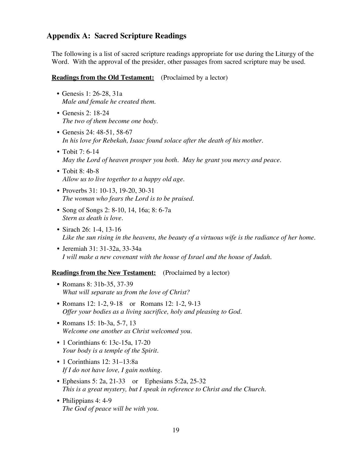### **Appendix A: Sacred Scripture Readings**

The following is a list of sacred scripture readings appropriate for use during the Liturgy of the Word. With the approval of the presider, other passages from sacred scripture may be used.

**Readings from the Old Testament:** (Proclaimed by a lector)

- Genesis 1: 26-28, 31a *Male and female he created them.*
- Genesis 2: 18-24 *The two of them become one body.*
- Genesis 24: 48-51, 58-67 *In his love for Rebekah, Isaac found solace after the death of his mother.*
- Tobit 7: 6-14 *May the Lord of heaven prosper you both. May he grant you mercy and peace.*
- Tobit 8: 4b-8 *Allow us to live together to a happy old age.*
- Proverbs 31: 10-13, 19-20, 30-31 *The woman who fears the Lord is to be praised.*
- Song of Songs 2: 8-10, 14, 16a; 8: 6-7a *Stern as death is love.*
- Sirach 26: 1-4, 13-16 *Like the sun rising in the heavens, the beauty of a virtuous wife is the radiance of her home.*
- Jeremiah 31: 31-32a, 33-34a *I will make a new covenant with the house of Israel and the house of Judah.*

**Readings from the New Testament:** (Proclaimed by a lector)

- Romans 8: 31b-35, 37-39 *What will separate us from the love of Christ?*
- Romans 12: 1-2, 9-18 or Romans 12: 1-2, 9-13 *Offer your bodies as a living sacrifice, holy and pleasing to God.*
- Romans 15: 1b-3a, 5-7, 13 *Welcome one another as Christ welcomed you.*
- 1 Corinthians 6: 13c-15a, 17-20 *Your body is a temple of the Spirit.*
- 1 Corinthians 12: 31–13:8a *If I do not have love, I gain nothing.*
- Ephesians 5: 2a, 21-33 or Ephesians 5:2a, 25-32 *This is a great mystery, but I speak in reference to Christ and the Church.*
- Philippians 4: 4-9 *The God of peace will be with you.*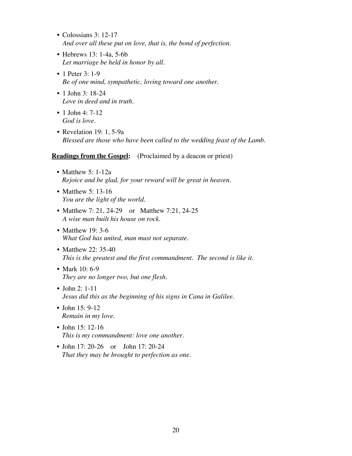- Colossians 3: 12-17 *And over all these put on love, that is, the bond of perfection.*
- Hebrews 13: 1-4a, 5-6b *Let marriage be held in honor by all.*
- 1 Peter 3: 1-9 *Be of one mind, sympathetic, loving toward one another.*
- 1 John 3: 18-24 *Love in deed and in truth.*
- 1 John 4:  $7-12$ *God is love.*
- Revelation 19: 1, 5-9a *Blessed are those who have been called to the wedding feast of the Lamb.*

### **Readings from the Gospel:** (Proclaimed by a deacon or priest)

- Matthew 5: 1-12a *Rejoice and be glad, for your reward will be great in heaven.*
- Matthew 5: 13-16 *You are the light of the world.*
- Matthew 7: 21, 24-29 or Matthew 7:21, 24-25 *A wise man built his house on rock.*
- Matthew 19: 3-6 *What God has united, man must not separate.*
- Matthew 22: 35-40 *This is the greatest and the first commandment. The second is like it.*
- Mark 10: 6-9 *They are no longer two, but one flesh.*
- John 2: 1-11 *Jesus did this as the beginning of his signs in Cana in Galilee.*
- John 15: 9-12 *Remain in my love.*
- John 15: 12-16 *This is my commandment: love one another.*
- John 17: 20-26 or John 17: 20-24 *That they may be brought to perfection as one.*